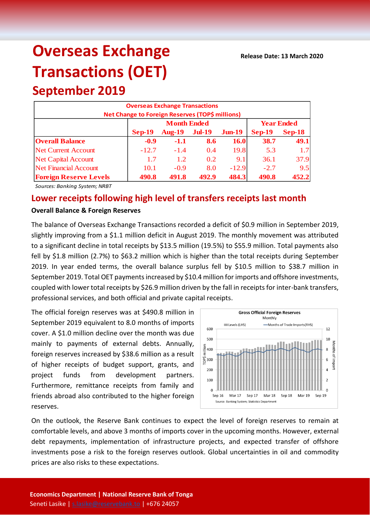# **Overseas Exchange Transactions (OET)**

## **September 2019**

| <b>Overseas Exchange Transactions</b>                                      |               |                    |                   |           |          |          |  |  |  |
|----------------------------------------------------------------------------|---------------|--------------------|-------------------|-----------|----------|----------|--|--|--|
| Net Change to Foreign Reserves (TOP\$ millions)                            |               |                    |                   |           |          |          |  |  |  |
|                                                                            |               | <b>Month Ended</b> | <b>Year Ended</b> |           |          |          |  |  |  |
|                                                                            | <b>Sep-19</b> | <b>Aug-19</b>      | <b>Jul-19</b>     | $J$ un-19 | $Sep-19$ | $Sep-18$ |  |  |  |
| <b>Overall Balance</b>                                                     | $-0.9$        | $-1.1$             | 8.6               | 16.0      | 38.7     | 49.1     |  |  |  |
| <b>Net Current Account</b>                                                 | $-12.7$       | $-1.4$             | 0.4               | 19.8      | 5.3      | 1.7      |  |  |  |
| <b>Net Capital Account</b>                                                 | 1.7           | 1.2                | 0.2               | 9.1       | 36.1     | 37.9     |  |  |  |
| <b>Net Financial Account</b>                                               | 10.1          | $-0.9$             | 8.0               | $-12.9$   | $-2.7$   | 9.5      |  |  |  |
| <b>Foreign Reserve Levels</b><br>484.3<br>490.8<br>490.8<br>491.8<br>492.9 |               |                    |                   |           |          |          |  |  |  |

*Sources: Banking System; NRBT*

### **Lower receipts following high level of transfers receipts last month**

#### **Overall Balance & Foreign Reserves**

The balance of Overseas Exchange Transactions recorded a deficit of \$0.9 million in September 2019, slightly improving from a \$1.1 million deficit in August 2019. The monthly movement was attributed to a significant decline in total receipts by \$13.5 million (19.5%) to \$55.9 million. Total payments also fell by \$1.8 million (2.7%) to \$63.2 million which is higher than the total receipts during September 2019. In year ended terms, the overall balance surplus fell by \$10.5 million to \$38.7 million in September 2019. Total OET payments increased by \$10.4 million for imports and offshore investments, coupled with lower total receipts by \$26.9 million driven by the fall in receipts for inter-bank transfers, professional services, and both official and private capital receipts.

The official foreign reserves was at \$490.8 million in September 2019 equivalent to 8.0 months of imports cover. A \$1.0 million decline over the month was due mainly to payments of external debts. Annually, foreign reserves increased by \$38.6 million as a result of higher receipts of budget support, grants, and project funds from development partners. Furthermore, remittance receipts from family and friends abroad also contributed to the higher foreign reserves.



On the outlook, the Reserve Bank continues to expect the level of foreign reserves to remain at comfortable levels, and above 3 months of imports cover in the upcoming months. However, external debt repayments, implementation of infrastructure projects, and expected transfer of offshore investments pose a risk to the foreign reserves outlook. Global uncertainties in oil and commodity prices are also risks to these expectations.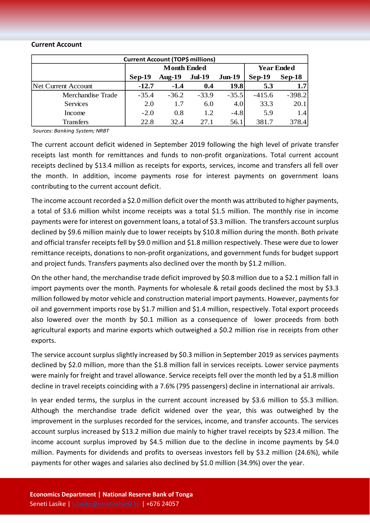#### **Current Account**

| <b>Current Account (TOP\$ millions)</b> |                    |           |               |           |                   |                  |  |  |
|-----------------------------------------|--------------------|-----------|---------------|-----------|-------------------|------------------|--|--|
|                                         | <b>Month Ended</b> |           |               |           | <b>Year Ended</b> |                  |  |  |
|                                         | $Sep-19$           | Aug- $19$ | <b>Jul-19</b> | $J$ un-19 | $Sep-19$          | $Sep-18$         |  |  |
| Net Current Account                     | $-12.7$            | $-1.4$    | 0.4           | 19.8      | 5.3               | 1.7 <sup>1</sup> |  |  |
| Merchandise Trade                       | $-35.4$            | $-36.2$   | $-33.9$       | $-35.5$   | $-415.6$          | $-398.2$         |  |  |
| <b>Services</b>                         | 2.0                | 1.7       | 6.0           | 4.0       | 33.3              | 20.1             |  |  |
| Income                                  | $-2.0$             | 0.8       | 1.2           | $-4.8$    | 5.9               | 1.4              |  |  |
| <b>Transfers</b>                        | 22.8               | 32.4      | 27.1          | 56.1      | 381.7             | 378.4            |  |  |

*Sources: Banking System; NRBT*

The current account deficit widened in September 2019 following the high level of private transfer receipts last month for remittances and funds to non-profit organizations. Total current account receipts declined by \$13.4 million as receipts for exports, services, income and transfers all fell over the month. In addition, income payments rose for interest payments on government loans contributing to the current account deficit.

The income account recorded a \$2.0 million deficit over the month was attributed to higher payments, a total of \$3.6 million whilst income receipts was a total \$1.5 million. The monthly rise in income payments were for interest on government loans, a total of \$3.3 million. The transfers account surplus declined by \$9.6 million mainly due to lower receipts by \$10.8 million during the month. Both private and official transfer receipts fell by \$9.0 million and \$1.8 million respectively. These were due to lower remittance receipts, donations to non-profit organizations, and government funds for budget support and project funds. Transfers payments also declined over the month by \$1.2 million.

On the other hand, the merchandise trade deficit improved by \$0.8 million due to a \$2.1 million fall in import payments over the month. Payments for wholesale & retail goods declined the most by \$3.3 million followed by motor vehicle and construction material import payments. However, payments for oil and government imports rose by \$1.7 million and \$1.4 million, respectively. Total export proceeds also lowered over the month by \$0.1 million as a consequence of lower proceeds from both agricultural exports and marine exports which outweighed a \$0.2 million rise in receipts from other exports.

The service account surplus slightly increased by \$0.3 million in September 2019 as services payments declined by \$2.0 million, more than the \$1.8 million fall in services receipts. Lower service payments were mainly for freight and travel allowance. Service receipts fell over the month led by a \$1.8 million decline in travel receipts coinciding with a 7.6% (795 passengers) decline in international air arrivals.

In year ended terms, the surplus in the current account increased by \$3.6 million to \$5.3 million. Although the merchandise trade deficit widened over the year, this was outweighed by the improvement in the surpluses recorded for the services, income, and transfer accounts. The services account surplus increased by \$13.2 million due mainly to higher travel receipts by \$23.4 million. The income account surplus improved by \$4.5 million due to the decline in income payments by \$4.0 million. Payments for dividends and profits to overseas investors fell by \$3.2 million (24.6%), while payments for other wages and salaries also declined by \$1.0 million (34.9%) over the year.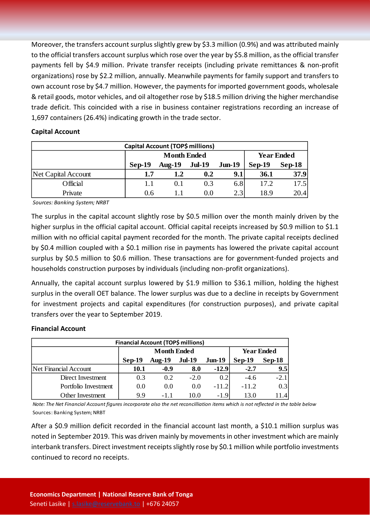Moreover, the transfers account surplus slightly grew by \$3.3 million (0.9%) and was attributed mainly to the official transfers account surplus which rose over the year by \$5.8 million, as the official transfer payments fell by \$4.9 million. Private transfer receipts (including private remittances & non-profit organizations) rose by \$2.2 million, annually. Meanwhile payments for family support and transfers to own account rose by \$4.7 million. However, the payments for imported government goods, wholesale & retail goods, motor vehicles, and oil altogether rose by \$18.5 million driving the higher merchandise trade deficit. This coincided with a rise in business container registrations recording an increase of 1,697 containers (26.4%) indicating growth in the trade sector.

#### **Capital Account**

| Capital Account (TOP\$ millions) |          |                    |                   |                  |          |          |  |  |
|----------------------------------|----------|--------------------|-------------------|------------------|----------|----------|--|--|
|                                  |          | <b>Month Ended</b> | <b>Year Ended</b> |                  |          |          |  |  |
|                                  | $Sep-19$ | Aug- $19$          | <b>Jul-19</b>     | $Jun-19$         | $Sep-19$ | $Sep-18$ |  |  |
| <b>Net Capital Account</b>       | 1.7      | 1.2                | 0.2               | 9.1              | 36.1     | 37.9     |  |  |
| Official                         | 1.1      | 0.1                | 0.3               | 6.8              | 17.2     | 17.5     |  |  |
| Private                          | 0.6      |                    | 0.0               | 2.3 <sub>1</sub> | 18.9     | 20.41    |  |  |

*Sources: Banking System; NRBT*

The surplus in the capital account slightly rose by \$0.5 million over the month mainly driven by the higher surplus in the official capital account. Official capital receipts increased by \$0.9 million to \$1.1 million with no official capital payment recorded for the month. The private capital receipts declined by \$0.4 million coupled with a \$0.1 million rise in payments has lowered the private capital account surplus by \$0.5 million to \$0.6 million. These transactions are for government-funded projects and households construction purposes by individuals (including non-profit organizations).

Annually, the capital account surplus lowered by \$1.9 million to \$36.1 million, holding the highest surplus in the overall OET balance. The lower surplus was due to a decline in receipts by Government for investment projects and capital expenditures (for construction purposes), and private capital transfers over the year to September 2019.

#### **Financial Account**

| <b>Financial Account (TOP\$ millions)</b> |                    |               |               |          |                   |          |  |  |
|-------------------------------------------|--------------------|---------------|---------------|----------|-------------------|----------|--|--|
|                                           | <b>Month Ended</b> |               |               |          | <b>Year Ended</b> |          |  |  |
|                                           | $Sep-19$           | <b>Aug-19</b> | <b>Jul-19</b> | $Jun-19$ | $Sep-19$          | $Sep-18$ |  |  |
| Net Financial Account                     | <b>10.1</b>        | $-0.9$        | 8.0           | $-12.9$  | $-2.7$            | 9.5      |  |  |
| Direct Investment                         | 0.3                | 0.2           | $-2.0$        | 0.2      | $-4.6$            | $-2.1$   |  |  |
| Portfolio Investment                      | 0.0                | 0.0           | 0.0           | $-11.2$  | $-11.2$           | 0.3      |  |  |
| Other Investment                          | 9.9                |               | 10.0          | $-1.9$   | 13.0              |          |  |  |

*Note: The Net Financial Account figures incorporate also the net reconcilliation items which is not reflected in the table below* Sources: Banking System; NRBT

After a \$0.9 million deficit recorded in the financial account last month, a \$10.1 million surplus was noted in September 2019. This was driven mainly by movements in other investment which are mainly interbank transfers. Direct investment receipts slightly rose by \$0.1 million while portfolio investments continued to record no receipts.